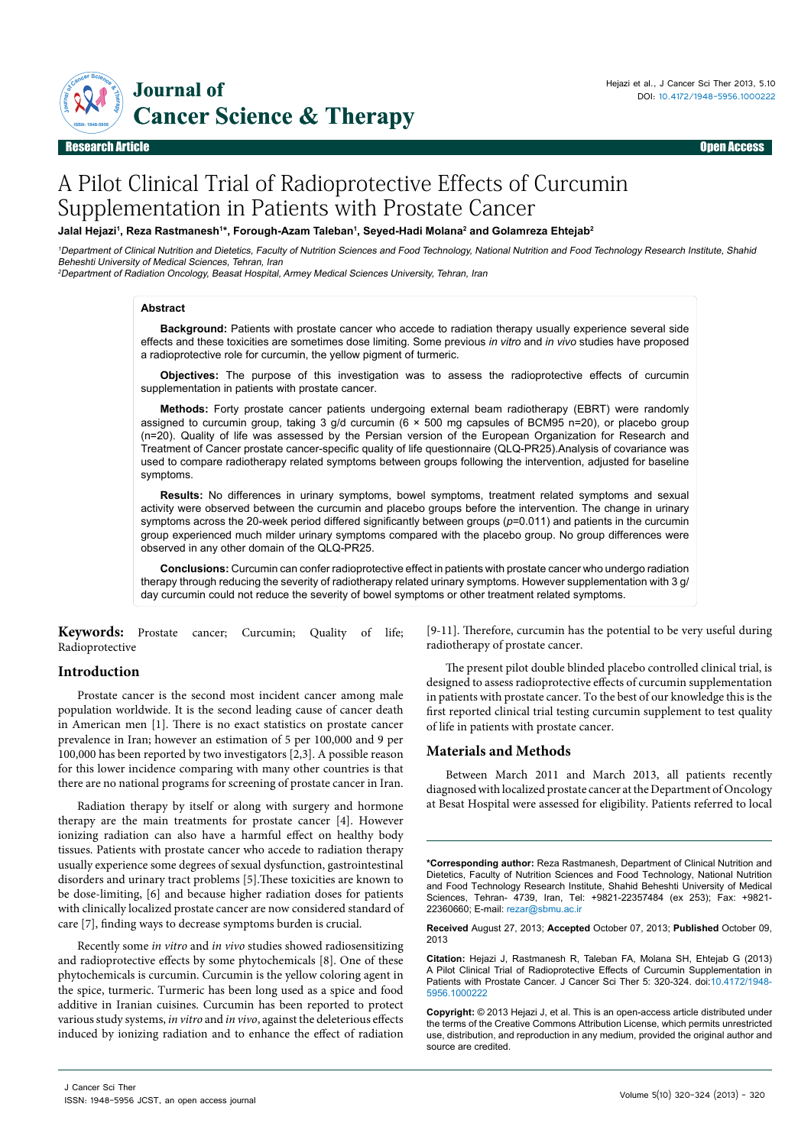

Research Article Open Access

# A Pilot Clinical Trial of Radioprotective Effects of Curcumin Supplementation in Patients with Prostate Cancer

# Jalal Hejazi<sup>1</sup>, Reza Rastmanesh<sup>1</sup>\*, Forough-Azam Taleban<sup>1</sup>, Seyed-Hadi Molana<sup>2</sup> and Golamreza Ehtejab<sup>2</sup>

<sup>1</sup>Department of Clinical Nutrition and Dietetics, Faculty of Nutrition Sciences and Food Technology, National Nutrition and Food Technology Research Institute, Shahid Beheshti University of Medical Sciences, Tehran, Iran

<sup>2</sup>Department of Radiation Oncology, Beasat Hospital, Armey Medical Sciences University, Tehran, Iran

#### **Abstract**

**Background:** Patients with prostate cancer who accede to radiation therapy usually experience several side effects and these toxicities are sometimes dose limiting. Some previous *in vitro* and *in vivo* studies have proposed a radioprotective role for curcumin, the yellow pigment of turmeric.

**Objectives:** The purpose of this investigation was to assess the radioprotective effects of curcumin supplementation in patients with prostate cancer.

**Methods:** Forty prostate cancer patients undergoing external beam radiotherapy (EBRT) were randomly assigned to curcumin group, taking 3 g/d curcumin (6 × 500 mg capsules of BCM95 n=20), or placebo group (n=20). Quality of life was assessed by the Persian version of the European Organization for Research and Treatment of Cancer prostate cancer-specific quality of life questionnaire (QLQ-PR25).Analysis of covariance was used to compare radiotherapy related symptoms between groups following the intervention, adjusted for baseline symptoms.

**Results:** No differences in urinary symptoms, bowel symptoms, treatment related symptoms and sexual activity were observed between the curcumin and placebo groups before the intervention. The change in urinary symptoms across the 20-week period differed significantly between groups (*p*=0.011) and patients in the curcumin group experienced much milder urinary symptoms compared with the placebo group. No group differences were observed in any other domain of the QLQ-PR25.

**Conclusions:** Curcumin can confer radioprotective effect in patients with prostate cancer who undergo radiation therapy through reducing the severity of radiotherapy related urinary symptoms. However supplementation with 3 g/ day curcumin could not reduce the severity of bowel symptoms or other treatment related symptoms.

**Keywords:** Prostate cancer; Curcumin; Quality of life; Radioprotective

## **Introduction**

Prostate cancer is the second most incident cancer among male population worldwide. It is the second leading cause of cancer death in American men [1]. There is no exact statistics on prostate cancer prevalence in Iran; however an estimation of 5 per 100,000 and 9 per 100,000 has been reported by two investigators [2,3]. A possible reason for this lower incidence comparing with many other countries is that there are no national programs for screening of prostate cancer in Iran.

Radiation therapy by itself or along with surgery and hormone therapy are the main treatments for prostate cancer [4]. However ionizing radiation can also have a harmful effect on healthy body tissues. Patients with prostate cancer who accede to radiation therapy usually experience some degrees of sexual dysfunction, gastrointestinal disorders and urinary tract problems [5].These toxicities are known to be dose-limiting, [6] and because higher radiation doses for patients with clinically localized prostate cancer are now considered standard of care [7], finding ways to decrease symptoms burden is crucial.

Recently some *in vitro* and *in vivo* studies showed radiosensitizing and radioprotective effects by some phytochemicals [8]. One of these phytochemicals is curcumin. Curcumin is the yellow coloring agent in the spice, turmeric. Turmeric has been long used as a spice and food additive in Iranian cuisines. Curcumin has been reported to protect various study systems, *in vitro* and *in vivo*, against the deleterious effects induced by ionizing radiation and to enhance the effect of radiation

[9-11]. Therefore, curcumin has the potential to be very useful during radiotherapy of prostate cancer.

The present pilot double blinded placebo controlled clinical trial, is designed to assess radioprotective effects of curcumin supplementation in patients with prostate cancer. To the best of our knowledge this is the first reported clinical trial testing curcumin supplement to test quality of life in patients with prostate cancer.

## **Materials and Methods**

Between March 2011 and March 2013, all patients recently diagnosed with localized prostate cancer at the Department of Oncology at Besat Hospital were assessed for eligibility. Patients referred to local

**<sup>\*</sup>Corresponding author:** Reza Rastmanesh, Department of Clinical Nutrition and Dietetics, Faculty of Nutrition Sciences and Food Technology, National Nutrition and Food Technology Research Institute, Shahid Beheshti University of Medical Sciences, Tehran- 4739, Iran, Tel: +9821-22357484 (ex 253); Fax: +9821- 22360660; E-mail: rezar@sbmu.ac.ir

**Received** August 27, 2013; **Accepted** October 07, 2013; **Published** October 09, 2013

**Citation:** Hejazi J, Rastmanesh R, Taleban FA, Molana SH, Ehtejab G (2013) A Pilot Clinical Trial of Radioprotective Effects of Curcumin Supplementation in Patients with Prostate Cancer. J Cancer Sci Ther 5: 320-324. doi:10.4172/1948- 5956.1000222

**Copyright:** © 2013 Hejazi J, et al. This is an open-access article distributed under the terms of the Creative Commons Attribution License, which permits unrestricted use, distribution, and reproduction in any medium, provided the original author and source are credited.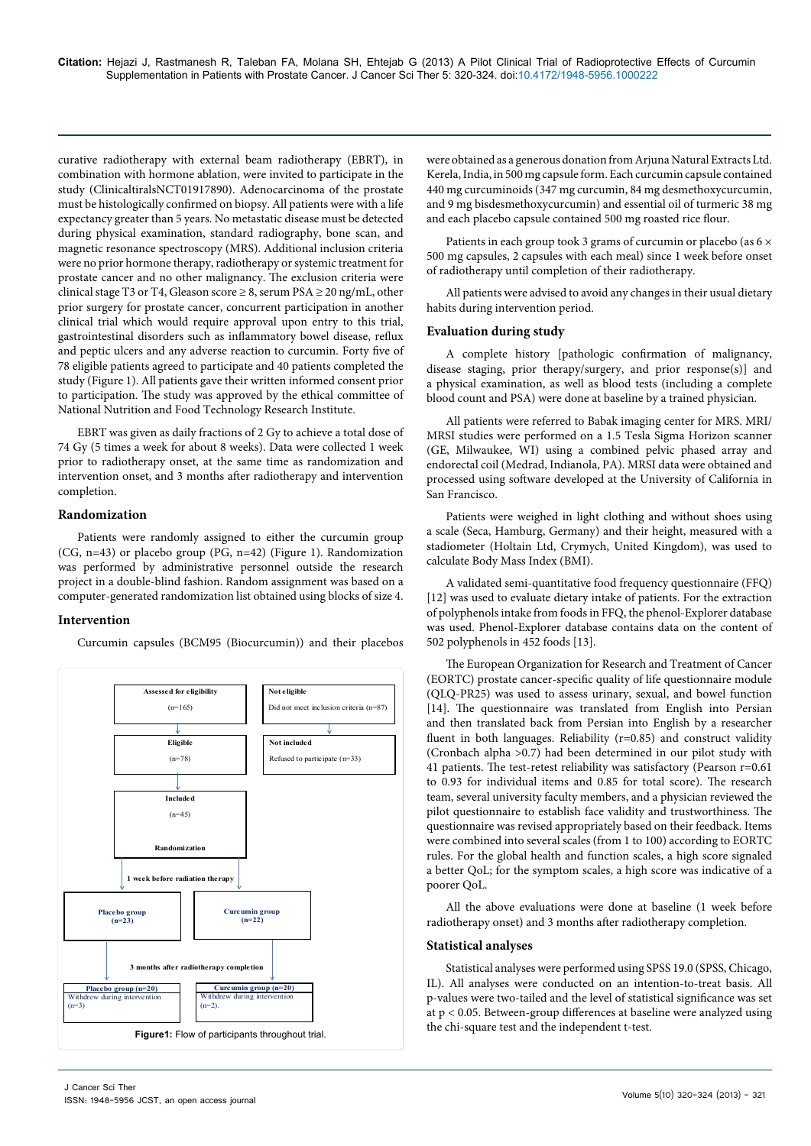curative radiotherapy with external beam radiotherapy (EBRT), in combination with hormone ablation, were invited to participate in the study (ClinicaltiralsNCT01917890). Adenocarcinoma of the prostate must be histologically confirmed on biopsy. All patients were with a life expectancy greater than 5 years. No metastatic disease must be detected during physical examination, standard radiography, bone scan, and magnetic resonance spectroscopy (MRS). Additional inclusion criteria were no prior hormone therapy, radiotherapy or systemic treatment for prostate cancer and no other malignancy. The exclusion criteria were clinical stage T3 or T4, Gleason score  $\geq 8$ , serum PSA  $\geq 20$  ng/mL, other prior surgery for prostate cancer, concurrent participation in another clinical trial which would require approval upon entry to this trial, gastrointestinal disorders such as inflammatory bowel disease, reflux and peptic ulcers and any adverse reaction to curcumin. Forty five of 78 eligible patients agreed to participate and 40 patients completed the study (Figure 1). All patients gave their written informed consent prior to participation. The study was approved by the ethical committee of National Nutrition and Food Technology Research Institute.

EBRT was given as daily fractions of 2 Gy to achieve a total dose of 74 Gy (5 times a week for about 8 weeks). Data were collected 1 week prior to radiotherapy onset, at the same time as randomization and intervention onset, and 3 months after radiotherapy and intervention completion.

# **Randomization**

Patients were randomly assigned to either the curcumin group (CG, n=43) or placebo group (PG, n=42) (Figure 1). Randomization was performed by administrative personnel outside the research project in a double-blind fashion. Random assignment was based on a computer-generated randomization list obtained using blocks of size 4.

## **Intervention**

Curcumin capsules (BCM95 (Biocurcumin)) and their placebos



were obtained as a generous donation from Arjuna Natural Extracts Ltd. Kerela, India, in 500 mg capsule form. Each curcumin capsule contained 440 mg curcuminoids (347 mg curcumin, 84 mg desmethoxycurcumin, and 9 mg bisdesmethoxycurcumin) and essential oil of turmeric 38 mg and each placebo capsule contained 500 mg roasted rice flour.

Patients in each group took 3 grams of curcumin or placebo (as  $6 \times$ 500 mg capsules, 2 capsules with each meal) since 1 week before onset of radiotherapy until completion of their radiotherapy.

All patients were advised to avoid any changes in their usual dietary habits during intervention period.

#### **Evaluation during study**

A complete history [pathologic confirmation of malignancy, disease staging, prior therapy/surgery, and prior response(s)] and a physical examination, as well as blood tests (including a complete blood count and PSA) were done at baseline by a trained physician.

All patients were referred to Babak imaging center for MRS. MRI/ MRSI studies were performed on a 1.5 Tesla Sigma Horizon scanner (GE, Milwaukee, WI) using a combined pelvic phased array and endorectal coil (Medrad, Indianola, PA). MRSI data were obtained and processed using software developed at the University of California in San Francisco.

Patients were weighed in light clothing and without shoes using a scale (Seca, Hamburg, Germany) and their height, measured with a stadiometer (Holtain Ltd, Crymych, United Kingdom), was used to calculate Body Mass Index (BMI).

A validated semi-quantitative food frequency questionnaire (FFQ) [12] was used to evaluate dietary intake of patients. For the extraction of polyphenols intake from foods in FFQ, the phenol-Explorer database was used. Phenol-Explorer database contains data on the content of 502 polyphenols in 452 foods [13].

The European Organization for Research and Treatment of Cancer (EORTC) prostate cancer-specific quality of life questionnaire module (QLQ-PR25) was used to assess urinary, sexual, and bowel function [14]. The questionnaire was translated from English into Persian and then translated back from Persian into English by a researcher fluent in both languages. Reliability  $(r=0.85)$  and construct validity (Cronbach alpha >0.7) had been determined in our pilot study with 41 patients. The test-retest reliability was satisfactory (Pearson r=0.61 to 0.93 for individual items and 0.85 for total score). The research team, several university faculty members, and a physician reviewed the pilot questionnaire to establish face validity and trustworthiness. The questionnaire was revised appropriately based on their feedback. Items were combined into several scales (from 1 to 100) according to EORTC rules. For the global health and function scales, a high score signaled a better QoL; for the symptom scales, a high score was indicative of a poorer QoL.

All the above evaluations were done at baseline (1 week before radiotherapy onset) and 3 months after radiotherapy completion.

#### **Statistical analyses**

Statistical analyses were performed using SPSS 19.0 (SPSS, Chicago, IL). All analyses were conducted on an intention-to-treat basis. All p-values were two-tailed and the level of statistical significance was set at p < 0.05. Between-group differences at baseline were analyzed using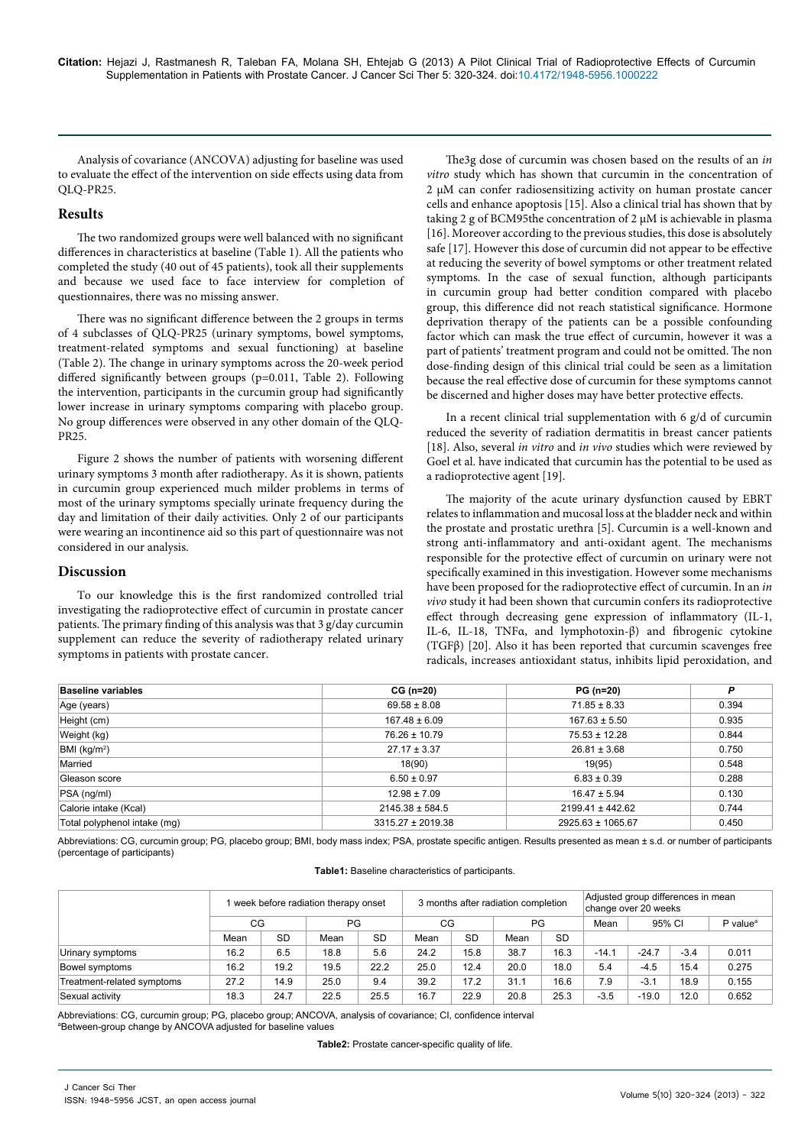Analysis of covariance (ANCOVA) adjusting for baseline was used to evaluate the effect of the intervention on side effects using data from QLQ-PR25.

# **Results**

The two randomized groups were well balanced with no significant differences in characteristics at baseline (Table 1). All the patients who completed the study (40 out of 45 patients), took all their supplements and because we used face to face interview for completion of questionnaires, there was no missing answer.

There was no significant difference between the 2 groups in terms of 4 subclasses of QLQ-PR25 (urinary symptoms, bowel symptoms, treatment-related symptoms and sexual functioning) at baseline (Table 2). The change in urinary symptoms across the 20-week period differed significantly between groups (p=0.011, Table 2). Following the intervention, participants in the curcumin group had significantly lower increase in urinary symptoms comparing with placebo group. No group differences were observed in any other domain of the QLQ-PR25.

Figure 2 shows the number of patients with worsening different urinary symptoms 3 month after radiotherapy. As it is shown, patients in curcumin group experienced much milder problems in terms of most of the urinary symptoms specially urinate frequency during the day and limitation of their daily activities. Only 2 of our participants were wearing an incontinence aid so this part of questionnaire was not considered in our analysis.

## **Discussion**

To our knowledge this is the first randomized controlled trial investigating the radioprotective effect of curcumin in prostate cancer patients. The primary finding of this analysis was that 3 g/day curcumin supplement can reduce the severity of radiotherapy related urinary symptoms in patients with prostate cancer.

The3g dose of curcumin was chosen based on the results of an *in vitro* study which has shown that curcumin in the concentration of 2 µM can confer radiosensitizing activity on human prostate cancer cells and enhance apoptosis [15]. Also a clinical trial has shown that by taking 2 g of BCM95the concentration of 2 µM is achievable in plasma [16]. Moreover according to the previous studies, this dose is absolutely safe [17]. However this dose of curcumin did not appear to be effective at reducing the severity of bowel symptoms or other treatment related symptoms. In the case of sexual function, although participants in curcumin group had better condition compared with placebo group, this difference did not reach statistical significance. Hormone deprivation therapy of the patients can be a possible confounding factor which can mask the true effect of curcumin, however it was a part of patients' treatment program and could not be omitted. The non dose-finding design of this clinical trial could be seen as a limitation because the real effective dose of curcumin for these symptoms cannot be discerned and higher doses may have better protective effects.

In a recent clinical trial supplementation with 6 g/d of curcumin reduced the severity of radiation dermatitis in breast cancer patients [18]. Also, several *in vitro* and *in vivo* studies which were reviewed by Goel et al. have indicated that curcumin has the potential to be used as a radioprotective agent [19].

The majority of the acute urinary dysfunction caused by EBRT relates to inflammation and mucosal loss at the bladder neck and within the prostate and prostatic urethra [5]. Curcumin is a well-known and strong anti-inflammatory and anti-oxidant agent. The mechanisms responsible for the protective effect of curcumin on urinary were not specifically examined in this investigation. However some mechanisms have been proposed for the radioprotective effect of curcumin. In an *in vivo* study it had been shown that curcumin confers its radioprotective effect through decreasing gene expression of inflammatory (IL-1, IL-6, IL-18, TNFα, and lymphotoxin-β) and fibrogenic cytokine (TGFβ) [20]. Also it has been reported that curcumin scavenges free radicals, increases antioxidant status, inhibits lipid peroxidation, and

| <b>Baseline variables</b>    | $CG (n=20)$           | <b>PG</b> (n=20)     | P     |
|------------------------------|-----------------------|----------------------|-------|
| Age (years)                  | $69.58 \pm 8.08$      | $71.85 \pm 8.33$     | 0.394 |
| Height (cm)                  | $167.48 \pm 6.09$     | $167.63 \pm 5.50$    | 0.935 |
| Weight (kg)                  | $76.26 \pm 10.79$     | $75.53 \pm 12.28$    | 0.844 |
| BMI (kg/m <sup>2</sup> )     | $27.17 \pm 3.37$      | $26.81 \pm 3.68$     | 0.750 |
| Married                      | 18(90)                | 19(95)               | 0.548 |
| Gleason score                | $6.50 \pm 0.97$       | $6.83 \pm 0.39$      | 0.288 |
| $PSA$ (ng/ml)                | $12.98 \pm 7.09$      | $16.47 \pm 5.94$     | 0.130 |
| Calorie intake (Kcal)        | $2145.38 \pm 584.5$   | $2199.41 \pm 442.62$ | 0.744 |
| Total polyphenol intake (mg) | $3315.27 \pm 2019.38$ | 2925.63 ± 1065.67    | 0.450 |

Abbreviations: CG, curcumin group; PG, placebo group; BMI, body mass index; PSA, prostate specific antigen. Results presented as mean ± s.d. or number of participants (percentage of participants)

|                            | week before radiation therapy onset |           |           |           | 3 months after radiation completion |           |           | Adjusted group differences in mean<br>change over 20 weeks |         |         |        |                      |
|----------------------------|-------------------------------------|-----------|-----------|-----------|-------------------------------------|-----------|-----------|------------------------------------------------------------|---------|---------|--------|----------------------|
|                            | CG                                  |           | <b>PG</b> |           | CG                                  |           | <b>PG</b> |                                                            | Mean    | 95% CI  |        | P value <sup>a</sup> |
|                            | Mean                                | <b>SD</b> | Mean      | <b>SD</b> | Mean                                | <b>SD</b> | Mean      | <b>SD</b>                                                  |         |         |        |                      |
| Urinary symptoms           | 16.2                                | 6.5       | 18.8      | 5.6       | 24.2                                | 15.8      | 38.7      | 16.3                                                       | $-14.1$ | $-24.7$ | $-3.4$ | 0.011                |
| Bowel symptoms             | 16.2                                | 19.2      | 19.5      | 22.2      | 25.0                                | 12.4      | 20.0      | 18.0                                                       | 5.4     | $-4.5$  | 15.4   | 0.275                |
| Treatment-related symptoms | 27.2                                | 14.9      | 25.0      | 9.4       | 39.2                                | 17.2      | 31.1      | 16.6                                                       | 7.9     | $-3.1$  | 18.9   | 0.155                |
| Sexual activity            | 18.3                                | 24.7      | 22.5      | 25.5      | 16.7                                | 22.9      | 20.8      | 25.3                                                       | $-3.5$  | $-19.0$ | 12.0   | 0.652                |

Abbreviations: CG, curcumin group; PG, placebo group; ANCOVA, analysis of covariance; CI, confidence interval a Between-group change by ANCOVA adjusted for baseline values

**Table2:** Prostate cancer-specific quality of life.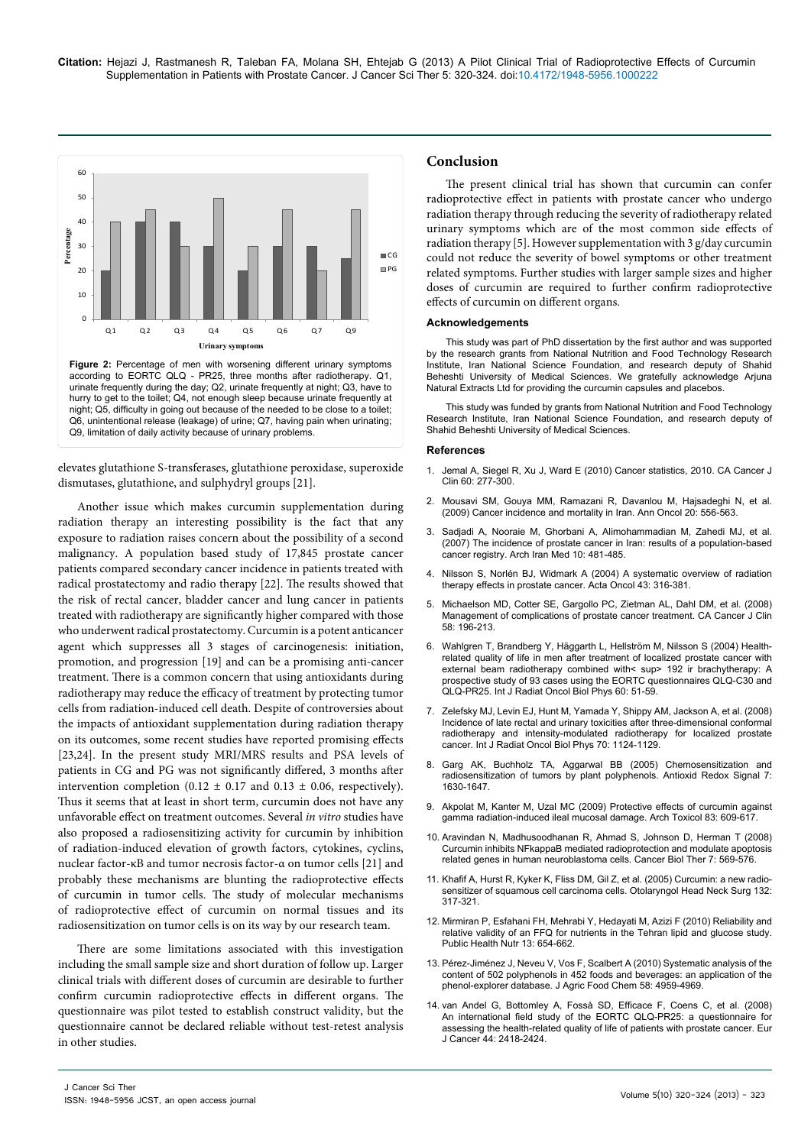

urinate frequently during the day; Q2, urinate frequently at night; Q3, have to hurry to get to the toilet; Q4, not enough sleep because urinate frequently at night; Q5, difficulty in going out because of the needed to be close to a toilet; Q6, unintentional release (leakage) of urine; Q7, having pain when urinating; Q9, limitation of daily activity because of urinary problems.

elevates glutathione S-transferases, glutathione peroxidase, superoxide dismutases, glutathione, and sulphydryl groups [21].

Another issue which makes curcumin supplementation during radiation therapy an interesting possibility is the fact that any exposure to radiation raises concern about the possibility of a second malignancy. A population based study of 17,845 prostate cancer patients compared secondary cancer incidence in patients treated with radical prostatectomy and radio therapy [22]. The results showed that the risk of rectal cancer, bladder cancer and lung cancer in patients treated with radiotherapy are significantly higher compared with those who underwent radical prostatectomy. Curcumin is a potent anticancer agent which suppresses all 3 stages of carcinogenesis: initiation, promotion, and progression [19] and can be a promising anti-cancer treatment. There is a common concern that using antioxidants during radiotherapy may reduce the efficacy of treatment by protecting tumor cells from radiation-induced cell death. Despite of controversies about the impacts of antioxidant supplementation during radiation therapy on its outcomes, some recent studies have reported promising effects [23,24]. In the present study MRI/MRS results and PSA levels of patients in CG and PG was not significantly differed, 3 months after intervention completion (0.12  $\pm$  0.17 and 0.13  $\pm$  0.06, respectively). Thus it seems that at least in short term, curcumin does not have any unfavorable effect on treatment outcomes. Several *in vitro* studies have also proposed a radiosensitizing activity for curcumin by inhibition of radiation-induced elevation of growth factors, cytokines, cyclins, nuclear factor-κB and tumor necrosis factor-α on tumor cells [21] and probably these mechanisms are blunting the radioprotective effects of curcumin in tumor cells. The study of molecular mechanisms of radioprotective effect of curcumin on normal tissues and its radiosensitization on tumor cells is on its way by our research team.

There are some limitations associated with this investigation including the small sample size and short duration of follow up. Larger clinical trials with different doses of curcumin are desirable to further confirm curcumin radioprotective effects in different organs. The questionnaire was pilot tested to establish construct validity, but the questionnaire cannot be declared reliable without test-retest analysis in other studies.

# **Conclusion**

The present clinical trial has shown that curcumin can confer radioprotective effect in patients with prostate cancer who undergo radiation therapy through reducing the severity of radiotherapy related urinary symptoms which are of the most common side effects of radiation therapy [5]. However supplementation with 3 g/day curcumin could not reduce the severity of bowel symptoms or other treatment related symptoms. Further studies with larger sample sizes and higher doses of curcumin are required to further confirm radioprotective effects of curcumin on different organs.

#### **Acknowledgements**

This study was part of PhD dissertation by the first author and was supported by the research grants from National Nutrition and Food Technology Research Institute, Iran National Science Foundation, and research deputy of Shahid Beheshti University of Medical Sciences. We gratefully acknowledge Arjuna Natural Extracts Ltd for providing the curcumin capsules and placebos.

This study was funded by grants from National Nutrition and Food Technology Research Institute, Iran National Science Foundation, and research deputy of Shahid Beheshti University of Medical Sciences.

#### **References**

- 1. [Jemal A, Siegel R, Xu J, Ward E \(2010\) Cancer statistics, 2010. CA Cancer J](http://www.ncbi.nlm.nih.gov/pubmed/20610543)  [Clin 60: 277-300.](http://www.ncbi.nlm.nih.gov/pubmed/20610543)
- 2. [Mousavi SM, Gouya MM, Ramazani R, Davanlou M, Hajsadeghi N, et al.](http://www.ncbi.nlm.nih.gov/pubmed/19073863)  [\(2009\) Cancer incidence and mortality in Iran. Ann Oncol 20: 556-563.](http://www.ncbi.nlm.nih.gov/pubmed/19073863)
- 3. [Sadjadi A, Nooraie M, Ghorbani A, Alimohammadian M, Zahedi MJ, et al.](http://www.ncbi.nlm.nih.gov/pubmed/17903053)  [\(2007\) The incidence of prostate cancer in Iran: results of a population-based](http://www.ncbi.nlm.nih.gov/pubmed/17903053)  [cancer registry. Arch Iran Med 10: 481-485.](http://www.ncbi.nlm.nih.gov/pubmed/17903053)
- 4. [Nilsson S, Norlén BJ, Widmark A \(2004\) A systematic overview of radiation](http://www.ncbi.nlm.nih.gov/pubmed/15303499)  [therapy effects in prostate cancer. Acta Oncol 43: 316-381.](http://www.ncbi.nlm.nih.gov/pubmed/15303499)
- 5. [Michaelson MD, Cotter SE, Gargollo PC, Zietman AL, Dahl DM, et al. \(2008\)](http://www.ncbi.nlm.nih.gov/pubmed/18502900)  [Management of complications of prostate cancer treatment. CA Cancer J Clin](http://www.ncbi.nlm.nih.gov/pubmed/18502900)  [58: 196-213.](http://www.ncbi.nlm.nih.gov/pubmed/18502900)
- 6. Wahlgren T, Brandberg Y, Häggarth L, Hellström M, Nilsson S (2004) Healthrelated quality of life in men after treatment of localized prostate cancer with external beam radiotherapy combined with< sup> 192 ir brachytherapy: A prospective study of 93 cases using the EORTC questionnaires QLQ-C30 and QLQ-PR25. Int J Radiat Oncol Biol Phys 60: 51-59.
- 7. [Zelefsky MJ, Levin EJ, Hunt M, Yamada Y, Shippy AM, Jackson A, et al. \(2008\)](http://www.ncbi.nlm.nih.gov/pubmed/18313526)  [Incidence of late rectal and urinary toxicities after three-dimensional conformal](http://www.ncbi.nlm.nih.gov/pubmed/18313526)  [radiotherapy and intensity-modulated radiotherapy for localized prostate](http://www.ncbi.nlm.nih.gov/pubmed/18313526)  [cancer. Int J Radiat Oncol Biol Phys 70: 1124-1129.](http://www.ncbi.nlm.nih.gov/pubmed/18313526)
- 8. [Garg AK, Buchholz TA, Aggarwal BB \(2005\) Chemosensitization and](http://www.ncbi.nlm.nih.gov/pubmed/16356126)  [radiosensitization of tumors by plant polyphenols. Antioxid Redox Signal 7:](http://www.ncbi.nlm.nih.gov/pubmed/16356126)  [1630-1647.](http://www.ncbi.nlm.nih.gov/pubmed/16356126)
- 9. [Akpolat M, Kanter M, Uzal MC \(2009\) Protective effects of curcumin against](http://www.ncbi.nlm.nih.gov/pubmed/18754102)  [gamma radiation-induced ileal mucosal damage. Arch Toxicol 83: 609-617.](http://www.ncbi.nlm.nih.gov/pubmed/18754102)
- 10. [Aravindan N, Madhusoodhanan R, Ahmad S, Johnson D, Herman T \(2008\)](http://www.ncbi.nlm.nih.gov/pubmed/18305409)  [Curcumin inhibits NFkappaB mediated radioprotection and modulate apoptosis](http://www.ncbi.nlm.nih.gov/pubmed/18305409)  [related genes in human neuroblastoma cells. Cancer Biol Ther 7: 569-576.](http://www.ncbi.nlm.nih.gov/pubmed/18305409)
- 11. [Khafif A, Hurst R, Kyker K, Fliss DM, Gil Z, et al. \(2005\) Curcumin: a new radio](http://www.ncbi.nlm.nih.gov/pubmed/15692547)[sensitizer of squamous cell carcinoma cells. Otolaryngol Head Neck Surg 132:](http://www.ncbi.nlm.nih.gov/pubmed/15692547)  [317-321.](http://www.ncbi.nlm.nih.gov/pubmed/15692547)
- 12. [Mirmiran P, Esfahani FH, Mehrabi Y, Hedayati M, Azizi F \(2010\) Reliability and](http://www.ncbi.nlm.nih.gov/pubmed/19807937)  [relative validity of an FFQ for nutrients in the Tehran lipid and glucose study.](http://www.ncbi.nlm.nih.gov/pubmed/19807937)  [Public Health Nutr 13: 654-662.](http://www.ncbi.nlm.nih.gov/pubmed/19807937)
- 13. [Pérez-Jiménez J, Neveu V, Vos F, Scalbert A \(2010\) Systematic analysis of the](http://www.ncbi.nlm.nih.gov/pubmed/20302342)  [content of 502 polyphenols in 452 foods and beverages: an application of the](http://www.ncbi.nlm.nih.gov/pubmed/20302342)  [phenol-explorer database. J Agric Food Chem 58: 4959-4969.](http://www.ncbi.nlm.nih.gov/pubmed/20302342)
- 14. [van Andel G, Bottomley A, Fosså SD, Efficace F, Coens C, et al. \(2008\)](http://www.ncbi.nlm.nih.gov/pubmed/18774706)  [An international field study of the EORTC QLQ-PR25: a questionnaire for](http://www.ncbi.nlm.nih.gov/pubmed/18774706)  [assessing the health-related quality of life of patients with prostate cancer. Eur](http://www.ncbi.nlm.nih.gov/pubmed/18774706)  [J Cancer 44: 2418-2424.](http://www.ncbi.nlm.nih.gov/pubmed/18774706)